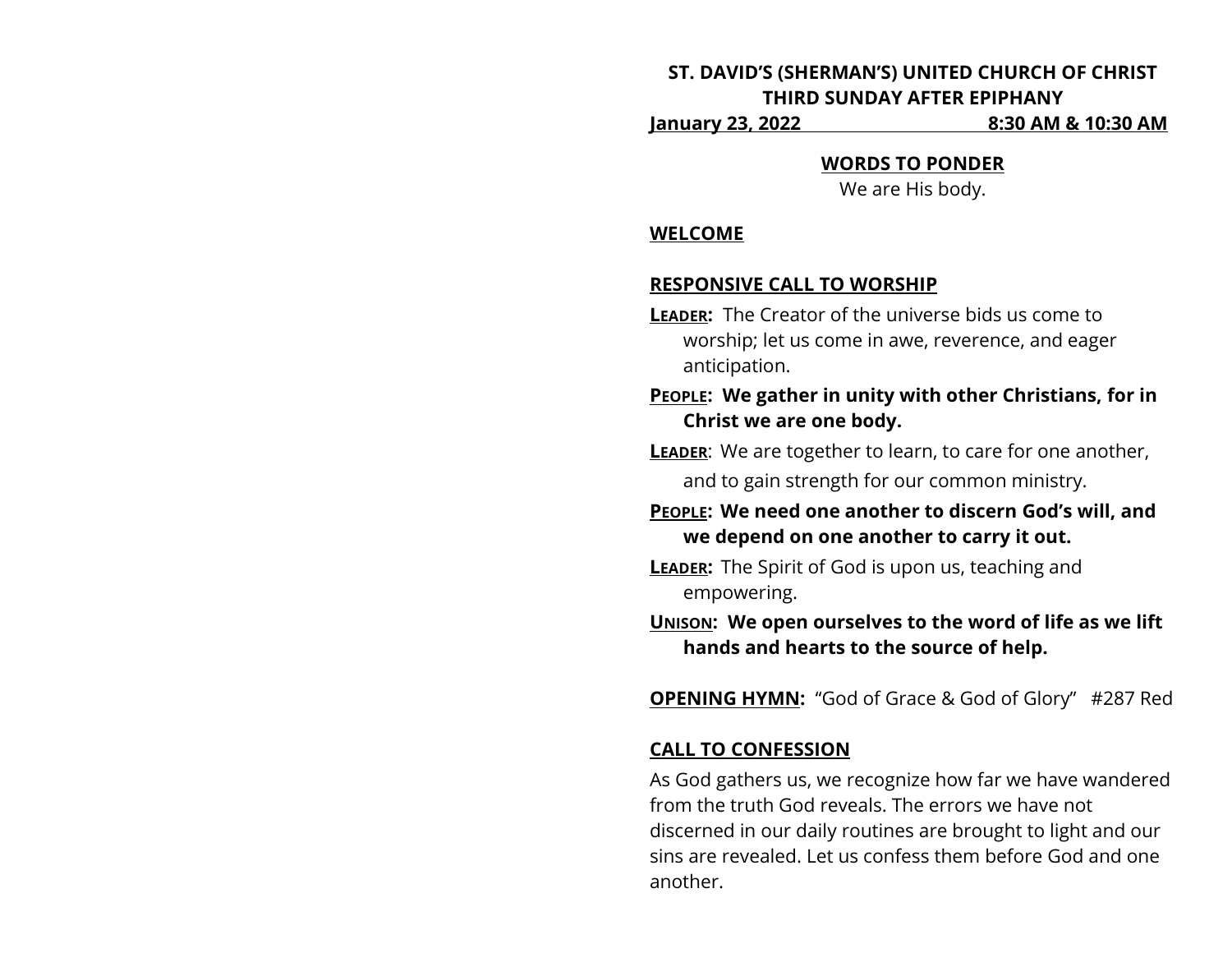# **ST. DAVID'S (SHERMAN'S) UNITED CHURCH OF CHRIST THIRD SUNDAY AFTER EPIPHANY**

**January 23, 2022 8:30 AM & 10:30 AM**

**WORDS TO PONDER**

We are His body.

### **WELCOME**

# **RESPONSIVE CALL TO WORSHIP**

- **LEADER:** The Creator of the universe bids us come to worship; let us come in awe, reverence, and eager anticipation.
- **PEOPLE: We gather in unity with other Christians, for in Christ we are one body.**

**LEADER:** We are together to learn, to care for one another,

and to gain strength for our common ministry.

**PEOPLE: We need one another to discern God's will, and we depend on one another to carry it out.**

**LEADER:** The Spirit of God is upon us, teaching and empowering.

**UNISON: We open ourselves to the word of life as we lift hands and hearts to the source of help.**

**OPENING HYMN:** "God of Grace & God of Glory" #287 Red

# **CALL TO CONFESSION**

As God gathers us, we recognize how far we have wandered from the truth God reveals. The errors we have not discerned in our daily routines are brought to light and our sins are revealed. Let us confess them before God and one another.